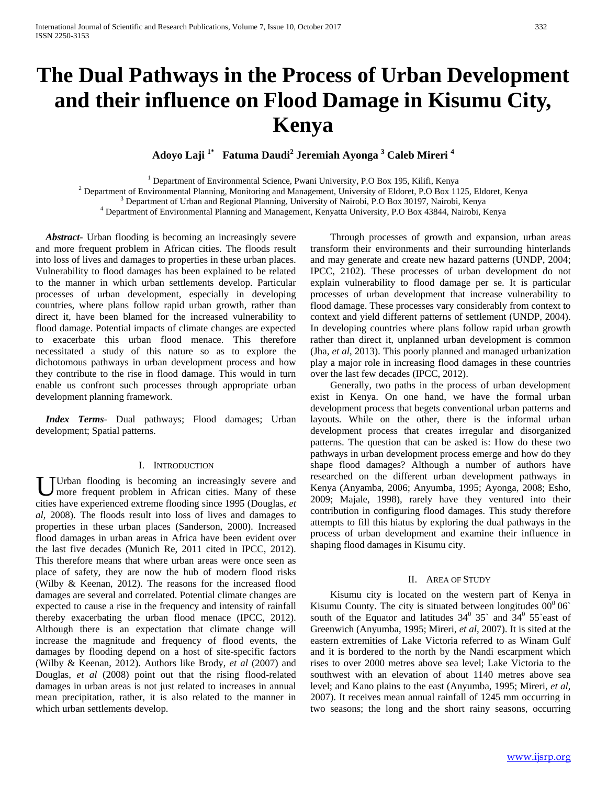# **The Dual Pathways in the Process of Urban Development and their influence on Flood Damage in Kisumu City, Kenya**

**Adoyo Laji 1\* Fatuma Daudi2 Jeremiah Ayonga <sup>3</sup> Caleb Mireri <sup>4</sup>**

<sup>1</sup> Department of Environmental Science, Pwani University, P.O Box 195, Kilifi, Kenya<br><sup>2</sup> Department of Environmental Planning, Monitoring and Management, University of Eldoret, P.O Box 1125, Eldoret, Kenya<br><sup>3</sup> Department

 *Abstract***-** Urban flooding is becoming an increasingly severe and more frequent problem in African cities. The floods result into loss of lives and damages to properties in these urban places. Vulnerability to flood damages has been explained to be related to the manner in which urban settlements develop. Particular processes of urban development, especially in developing countries, where plans follow rapid urban growth, rather than direct it, have been blamed for the increased vulnerability to flood damage. Potential impacts of climate changes are expected to exacerbate this urban flood menace. This therefore necessitated a study of this nature so as to explore the dichotomous pathways in urban development process and how they contribute to the rise in flood damage. This would in turn enable us confront such processes through appropriate urban development planning framework.

 *Index Terms*- Dual pathways; Flood damages; Urban development; Spatial patterns.

#### I. INTRODUCTION

Urban flooding is becoming an increasingly severe and more frequent problem in African cities. Many of these Urban flooding is becoming an increasingly severe and more frequent problem in African cities. Many of these cities have experienced extreme flooding since 1995 (Douglas, *et al,* 2008). The floods result into loss of lives and damages to properties in these urban places (Sanderson, 2000). Increased flood damages in urban areas in Africa have been evident over the last five decades (Munich Re, 2011 cited in IPCC, 2012). This therefore means that where urban areas were once seen as place of safety, they are now the hub of modern flood risks (Wilby & Keenan, 2012). The reasons for the increased flood damages are several and correlated. Potential climate changes are expected to cause a rise in the frequency and intensity of rainfall thereby exacerbating the urban flood menace (IPCC, 2012). Although there is an expectation that climate change will increase the magnitude and frequency of flood events, the damages by flooding depend on a host of site-specific factors (Wilby & Keenan, 2012). Authors like Brody, *et al* (2007) and Douglas, *et al* (2008) point out that the rising flood-related damages in urban areas is not just related to increases in annual mean precipitation, rather, it is also related to the manner in which urban settlements develop.

 Through processes of growth and expansion, urban areas transform their environments and their surrounding hinterlands and may generate and create new hazard patterns (UNDP, 2004; IPCC, 2102). These processes of urban development do not explain vulnerability to flood damage per se. It is particular processes of urban development that increase vulnerability to flood damage. These processes vary considerably from context to context and yield different patterns of settlement (UNDP, 2004). In developing countries where plans follow rapid urban growth rather than direct it, unplanned urban development is common (Jha, *et al*, 2013). This poorly planned and managed urbanization play a major role in increasing flood damages in these countries over the last few decades (IPCC, 2012).

 Generally, two paths in the process of urban development exist in Kenya. On one hand, we have the formal urban development process that begets conventional urban patterns and layouts. While on the other, there is the informal urban development process that creates irregular and disorganized patterns. The question that can be asked is: How do these two pathways in urban development process emerge and how do they shape flood damages? Although a number of authors have researched on the different urban development pathways in Kenya (Anyamba, 2006; Anyumba, 1995; Ayonga, 2008; Esho, 2009; Majale, 1998), rarely have they ventured into their contribution in configuring flood damages. This study therefore attempts to fill this hiatus by exploring the dual pathways in the process of urban development and examine their influence in shaping flood damages in Kisumu city.

### II. AREA OF STUDY

 Kisumu city is located on the western part of Kenya in Kisumu County. The city is situated between longitudes  $00^0 06$ <sup>o</sup> south of the Equator and latitudes  $34^{\circ}$  35` and  $34^{\circ}$  55`east of Greenwich (Anyumba, 1995; Mireri, *et al*, 2007). It is sited at the eastern extremities of Lake Victoria referred to as Winam Gulf and it is bordered to the north by the Nandi escarpment which rises to over 2000 metres above sea level; Lake Victoria to the southwest with an elevation of about 1140 metres above sea level; and Kano plains to the east (Anyumba, 1995; Mireri, *et al,* 2007). It receives mean annual rainfall of 1245 mm occurring in two seasons; the long and the short rainy seasons, occurring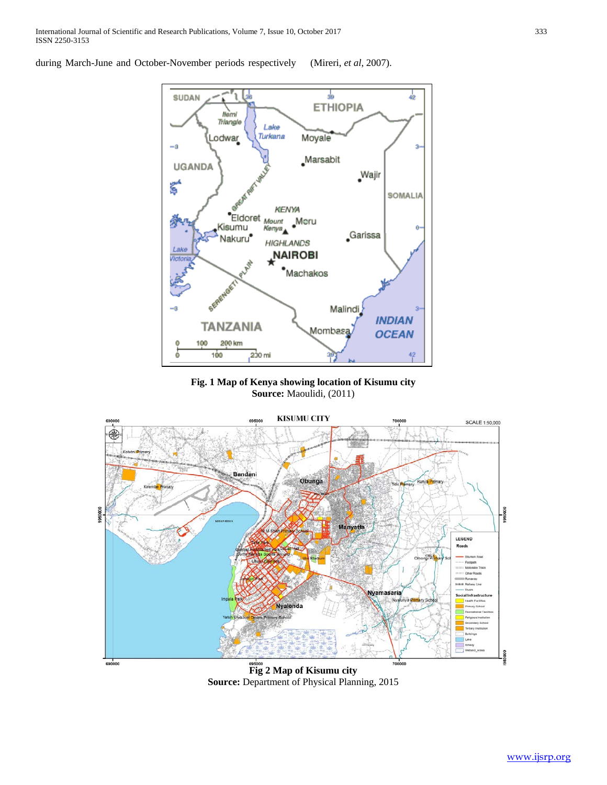during March-June and October-November periods respectively (Mireri, *et al*, 2007).



**Fig. 1 Map of Kenya showing location of Kisumu city Source:** Maoulidi, (2011)



**Source:** Department of Physical Planning, 2015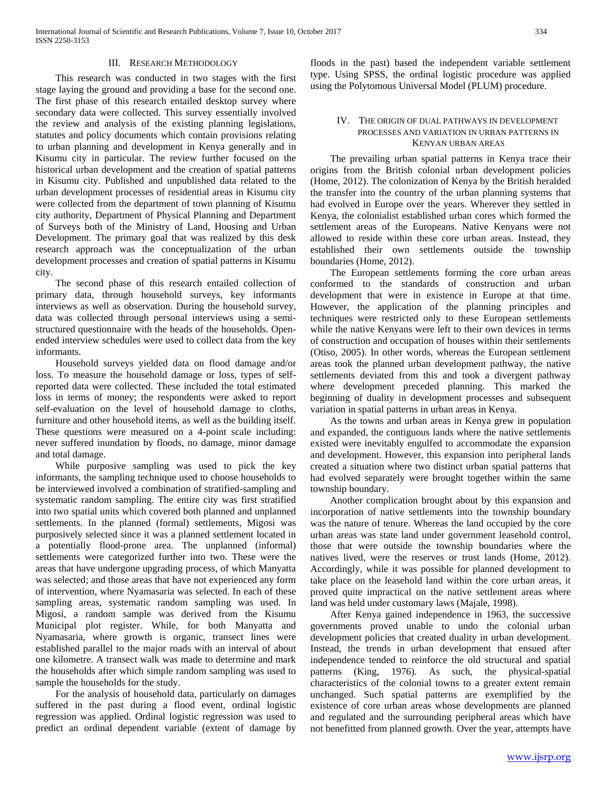### III. RESEARCH METHODOLOGY

 This research was conducted in two stages with the first stage laying the ground and providing a base for the second one. The first phase of this research entailed desktop survey where secondary data were collected. This survey essentially involved the review and analysis of the existing planning legislations, statutes and policy documents which contain provisions relating to urban planning and development in Kenya generally and in Kisumu city in particular. The review further focused on the historical urban development and the creation of spatial patterns in Kisumu city. Published and unpublished data related to the urban development processes of residential areas in Kisumu city were collected from the department of town planning of Kisumu city authority, Department of Physical Planning and Department of Surveys both of the Ministry of Land, Housing and Urban Development. The primary goal that was realized by this desk research approach was the conceptualization of the urban development processes and creation of spatial patterns in Kisumu city.

 The second phase of this research entailed collection of primary data, through household surveys, key informants interviews as well as observation. During the household survey, data was collected through personal interviews using a semistructured questionnaire with the heads of the households. Openended interview schedules were used to collect data from the key informants.

 Household surveys yielded data on flood damage and/or loss. To measure the household damage or loss, types of selfreported data were collected. These included the total estimated loss in terms of money; the respondents were asked to report self-evaluation on the level of household damage to cloths, furniture and other household items, as well as the building itself. These questions were measured on a 4-point scale including: never suffered inundation by floods, no damage, minor damage and total damage.

 While purposive sampling was used to pick the key informants, the sampling technique used to choose households to be interviewed involved a combination of stratified-sampling and systematic random sampling. The entire city was first stratified into two spatial units which covered both planned and unplanned settlements. In the planned (formal) settlements, Migosi was purposively selected since it was a planned settlement located in a potentially flood-prone area. The unplanned (informal) settlements were categorized further into two. These were the areas that have undergone upgrading process, of which Manyatta was selected; and those areas that have not experienced any form of intervention, where Nyamasaria was selected. In each of these sampling areas, systematic random sampling was used. In Migosi, a random sample was derived from the Kisumu Municipal plot register. While, for both Manyatta and Nyamasaria, where growth is organic, transect lines were established parallel to the major roads with an interval of about one kilometre. A transect walk was made to determine and mark the households after which simple random sampling was used to sample the households for the study.

 For the analysis of household data, particularly on damages suffered in the past during a flood event, ordinal logistic regression was applied. Ordinal logistic regression was used to predict an ordinal dependent variable (extent of damage by

floods in the past) based the independent variable settlement type. Using SPSS, the ordinal logistic procedure was applied using the Polytomous Universal Model (PLUM) procedure.

# IV. THE ORIGIN OF DUAL PATHWAYS IN DEVELOPMENT PROCESSES AND VARIATION IN URBAN PATTERNS IN KENYAN URBAN AREAS

 The prevailing urban spatial patterns in Kenya trace their origins from the British colonial urban development policies (Home, 2012). The colonization of Kenya by the British heralded the transfer into the country of the urban planning systems that had evolved in Europe over the years. Wherever they settled in Kenya, the colonialist established urban cores which formed the settlement areas of the Europeans. Native Kenyans were not allowed to reside within these core urban areas. Instead, they established their own settlements outside the township boundaries (Home, 2012).

 The European settlements forming the core urban areas conformed to the standards of construction and urban development that were in existence in Europe at that time. However, the application of the planning principles and techniques were restricted only to these European settlements while the native Kenyans were left to their own devices in terms of construction and occupation of houses within their settlements (Otiso, 2005). In other words, whereas the European settlement areas took the planned urban development pathway, the native settlements deviated from this and took a divergent pathway where development preceded planning. This marked the beginning of duality in development processes and subsequent variation in spatial patterns in urban areas in Kenya.

 As the towns and urban areas in Kenya grew in population and expanded, the contiguous lands where the native settlements existed were inevitably engulfed to accommodate the expansion and development. However, this expansion into peripheral lands created a situation where two distinct urban spatial patterns that had evolved separately were brought together within the same township boundary.

 Another complication brought about by this expansion and incorporation of native settlements into the township boundary was the nature of tenure. Whereas the land occupied by the core urban areas was state land under government leasehold control, those that were outside the township boundaries where the natives lived, were the reserves or trust lands (Home, 2012). Accordingly, while it was possible for planned development to take place on the leasehold land within the core urban areas, it proved quite impractical on the native settlement areas where land was held under customary laws (Majale, 1998).

 After Kenya gained independence in 1963, the successive governments proved unable to undo the colonial urban development policies that created duality in urban development. Instead, the trends in urban development that ensued after independence tended to reinforce the old structural and spatial patterns (King, 1976). As such, the physical-spatial characteristics of the colonial towns to a greater extent remain unchanged. Such spatial patterns are exemplified by the existence of core urban areas whose developments are planned and regulated and the surrounding peripheral areas which have not benefitted from planned growth. Over the year, attempts have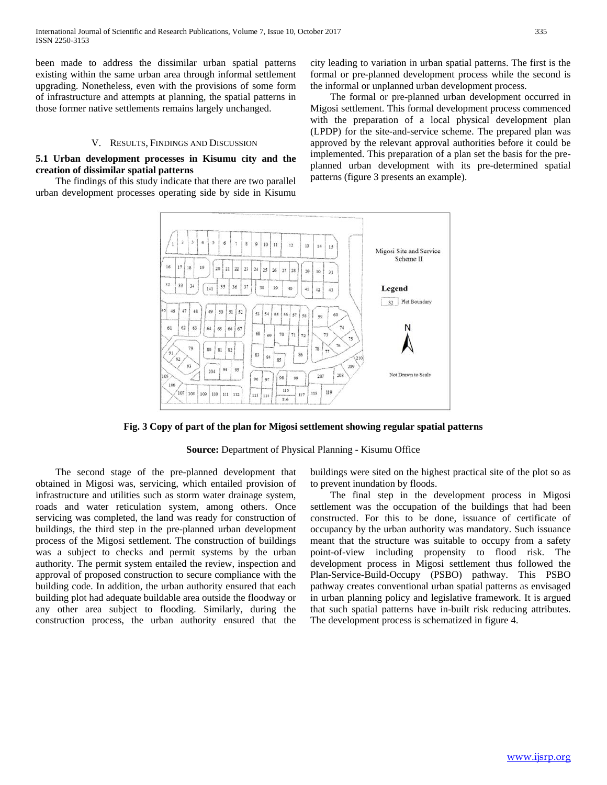been made to address the dissimilar urban spatial patterns existing within the same urban area through informal settlement upgrading. Nonetheless, even with the provisions of some form of infrastructure and attempts at planning, the spatial patterns in those former native settlements remains largely unchanged.

#### V. RESULTS, FINDINGS AND DISCUSSION

# **5.1 Urban development processes in Kisumu city and the creation of dissimilar spatial patterns**

 The findings of this study indicate that there are two parallel urban development processes operating side by side in Kisumu city leading to variation in urban spatial patterns. The first is the formal or pre-planned development process while the second is the informal or unplanned urban development process.

 The formal or pre-planned urban development occurred in Migosi settlement. This formal development process commenced with the preparation of a local physical development plan (LPDP) for the site-and-service scheme. The prepared plan was approved by the relevant approval authorities before it could be implemented. This preparation of a plan set the basis for the preplanned urban development with its pre-determined spatial patterns (figure 3 presents an example).



**Fig. 3 Copy of part of the plan for Migosi settlement showing regular spatial patterns**

**Source:** Department of Physical Planning - Kisumu Office

 The second stage of the pre-planned development that obtained in Migosi was, servicing, which entailed provision of infrastructure and utilities such as storm water drainage system, roads and water reticulation system, among others. Once servicing was completed, the land was ready for construction of buildings, the third step in the pre-planned urban development process of the Migosi settlement. The construction of buildings was a subject to checks and permit systems by the urban authority. The permit system entailed the review, inspection and approval of proposed construction to secure compliance with the building code. In addition, the urban authority ensured that each building plot had adequate buildable area outside the floodway or any other area subject to flooding. Similarly, during the construction process, the urban authority ensured that the

buildings were sited on the highest practical site of the plot so as to prevent inundation by floods.

 The final step in the development process in Migosi settlement was the occupation of the buildings that had been constructed. For this to be done, issuance of certificate of occupancy by the urban authority was mandatory. Such issuance meant that the structure was suitable to occupy from a safety point-of-view including propensity to flood risk. The development process in Migosi settlement thus followed the Plan-Service-Build-Occupy (PSBO) pathway. This PSBO pathway creates conventional urban spatial patterns as envisaged in urban planning policy and legislative framework. It is argued that such spatial patterns have in-built risk reducing attributes. The development process is schematized in figure 4.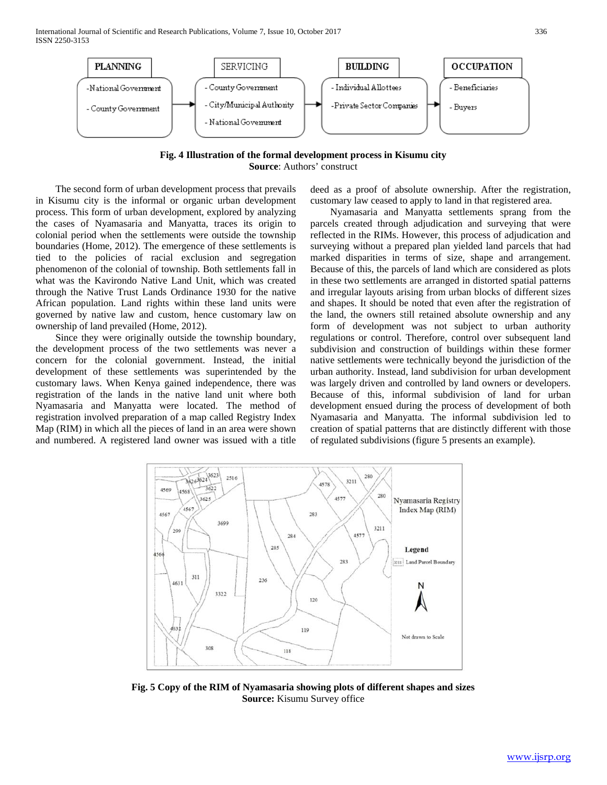International Journal of Scientific and Research Publications, Volume 7, Issue 10, October 2017 336 ISSN 2250-3153



**Fig. 4 Illustration of the formal development process in Kisumu city Source**: Authors' construct

 The second form of urban development process that prevails in Kisumu city is the informal or organic urban development process. This form of urban development, explored by analyzing the cases of Nyamasaria and Manyatta, traces its origin to colonial period when the settlements were outside the township boundaries (Home, 2012). The emergence of these settlements is tied to the policies of racial exclusion and segregation phenomenon of the colonial of township. Both settlements fall in what was the Kavirondo Native Land Unit, which was created through the Native Trust Lands Ordinance 1930 for the native African population. Land rights within these land units were governed by native law and custom, hence customary law on ownership of land prevailed (Home, 2012).

 Since they were originally outside the township boundary, the development process of the two settlements was never a concern for the colonial government. Instead, the initial development of these settlements was superintended by the customary laws. When Kenya gained independence, there was registration of the lands in the native land unit where both Nyamasaria and Manyatta were located. The method of registration involved preparation of a map called Registry Index Map (RIM) in which all the pieces of land in an area were shown and numbered. A registered land owner was issued with a title deed as a proof of absolute ownership. After the registration, customary law ceased to apply to land in that registered area.

 Nyamasaria and Manyatta settlements sprang from the parcels created through adjudication and surveying that were reflected in the RIMs. However, this process of adjudication and surveying without a prepared plan yielded land parcels that had marked disparities in terms of size, shape and arrangement. Because of this, the parcels of land which are considered as plots in these two settlements are arranged in distorted spatial patterns and irregular layouts arising from urban blocks of different sizes and shapes. It should be noted that even after the registration of the land, the owners still retained absolute ownership and any form of development was not subject to urban authority regulations or control. Therefore, control over subsequent land subdivision and construction of buildings within these former native settlements were technically beyond the jurisdiction of the urban authority. Instead, land subdivision for urban development was largely driven and controlled by land owners or developers. Because of this, informal subdivision of land for urban development ensued during the process of development of both Nyamasaria and Manyatta. The informal subdivision led to creation of spatial patterns that are distinctly different with those of regulated subdivisions (figure 5 presents an example).



**Fig. 5 Copy of the RIM of Nyamasaria showing plots of different shapes and sizes Source:** Kisumu Survey office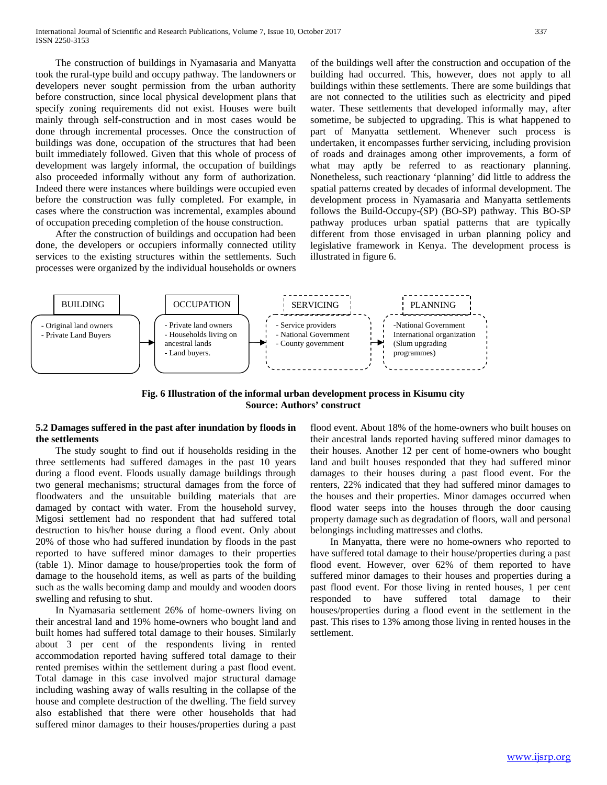The construction of buildings in Nyamasaria and Manyatta took the rural-type build and occupy pathway. The landowners or developers never sought permission from the urban authority before construction, since local physical development plans that specify zoning requirements did not exist. Houses were built mainly through self-construction and in most cases would be done through incremental processes. Once the construction of buildings was done, occupation of the structures that had been built immediately followed. Given that this whole of process of development was largely informal, the occupation of buildings also proceeded informally without any form of authorization. Indeed there were instances where buildings were occupied even before the construction was fully completed. For example, in cases where the construction was incremental, examples abound of occupation preceding completion of the house construction.

 After the construction of buildings and occupation had been done, the developers or occupiers informally connected utility services to the existing structures within the settlements. Such processes were organized by the individual households or owners of the buildings well after the construction and occupation of the building had occurred. This, however, does not apply to all buildings within these settlements. There are some buildings that are not connected to the utilities such as electricity and piped water. These settlements that developed informally may, after sometime, be subjected to upgrading. This is what happened to part of Manyatta settlement. Whenever such process is undertaken, it encompasses further servicing, including provision of roads and drainages among other improvements, a form of what may aptly be referred to as reactionary planning. Nonetheless, such reactionary 'planning' did little to address the spatial patterns created by decades of informal development. The development process in Nyamasaria and Manyatta settlements follows the Build-Occupy-(SP) (BO-SP) pathway. This BO-SP pathway produces urban spatial patterns that are typically different from those envisaged in urban planning policy and legislative framework in Kenya. The development process is illustrated in figure 6.



**Fig. 6 Illustration of the informal urban development process in Kisumu city Source: Authors' construct**

# **5.2 Damages suffered in the past after inundation by floods in the settlements**

 The study sought to find out if households residing in the three settlements had suffered damages in the past 10 years during a flood event. Floods usually damage buildings through two general mechanisms; structural damages from the force of floodwaters and the unsuitable building materials that are damaged by contact with water. From the household survey, Migosi settlement had no respondent that had suffered total destruction to his/her house during a flood event. Only about 20% of those who had suffered inundation by floods in the past reported to have suffered minor damages to their properties (table 1). Minor damage to house/properties took the form of damage to the household items, as well as parts of the building such as the walls becoming damp and mouldy and wooden doors swelling and refusing to shut.

 In Nyamasaria settlement 26% of home-owners living on their ancestral land and 19% home-owners who bought land and built homes had suffered total damage to their houses. Similarly about 3 per cent of the respondents living in rented accommodation reported having suffered total damage to their rented premises within the settlement during a past flood event. Total damage in this case involved major structural damage including washing away of walls resulting in the collapse of the house and complete destruction of the dwelling. The field survey also established that there were other households that had suffered minor damages to their houses/properties during a past

flood event. About 18% of the home-owners who built houses on their ancestral lands reported having suffered minor damages to their houses. Another 12 per cent of home-owners who bought land and built houses responded that they had suffered minor damages to their houses during a past flood event. For the renters, 22% indicated that they had suffered minor damages to the houses and their properties. Minor damages occurred when flood water seeps into the houses through the door causing property damage such as degradation of floors, wall and personal belongings including mattresses and cloths.

 In Manyatta, there were no home-owners who reported to have suffered total damage to their house/properties during a past flood event. However, over 62% of them reported to have suffered minor damages to their houses and properties during a past flood event. For those living in rented houses, 1 per cent responded to have suffered total damage to their houses/properties during a flood event in the settlement in the past. This rises to 13% among those living in rented houses in the settlement.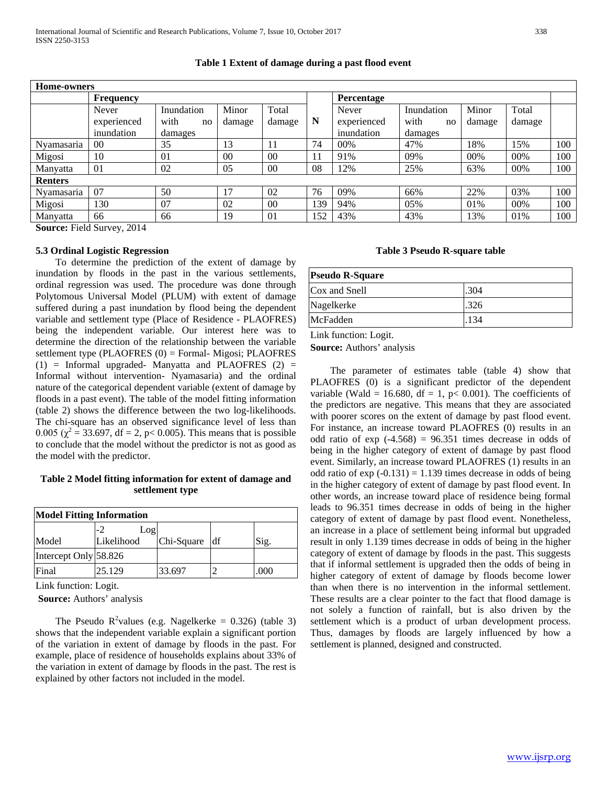| <b>Home-owners</b>                                  |                  |            |                |                |     |             |            |        |        |     |
|-----------------------------------------------------|------------------|------------|----------------|----------------|-----|-------------|------------|--------|--------|-----|
|                                                     | <b>Frequency</b> |            |                |                |     | Percentage  |            |        |        |     |
|                                                     | Never            | Inundation | Minor          | Total          |     | Never       | Inundation | Minor  | Total  |     |
|                                                     | experienced      | with<br>no | damage         | damage         | N   | experienced | with<br>no | damage | damage |     |
|                                                     | inundation       | damages    |                |                |     | inundation  | damages    |        |        |     |
| Nyamasaria                                          | 00 <sup>1</sup>  | 35         | 13             | 11             | 74  | 00%         | 47%        | 18%    | 15%    | 100 |
| Migosi                                              | 10               | 01         | 0 <sub>0</sub> | 0 <sup>0</sup> | 11  | 91%         | 09%        | 00%    | 00%    | 100 |
| Manyatta                                            | 01               | 02         | 05             | 00             | 08  | 12%         | 25%        | 63%    | 00%    | 100 |
| <b>Renters</b>                                      |                  |            |                |                |     |             |            |        |        |     |
| Nyamasaria                                          | 07               | 50         | 17             | 02             | 76  | 09%         | 66%        | 22%    | 03%    | 100 |
| Migosi                                              | 130              | 07         | 02             | 00             | 139 | 94%         | 05%        | 01%    | 00%    | 100 |
| Manyatta                                            | 66               | 66         | 19             | 01             | 152 | 43%         | 43%        | 13%    | 01%    | 100 |
| $\alpha$ $\mathbf{r}$ $\mathbf{11} \alpha$<br>0.011 |                  |            |                |                |     |             |            |        |        |     |

# **Table 1 Extent of damage during a past flood event**

**Source:** Field Survey, 2014

## **5.3 Ordinal Logistic Regression**

 To determine the prediction of the extent of damage by inundation by floods in the past in the various settlements, ordinal regression was used. The procedure was done through Polytomous Universal Model (PLUM) with extent of damage suffered during a past inundation by flood being the dependent variable and settlement type (Place of Residence - PLAOFRES) being the independent variable. Our interest here was to determine the direction of the relationship between the variable settlement type (PLAOFRES (0) = Formal- Migosi; PLAOFRES  $(1)$  = Informal upgraded- Manyatta and PLAOFRES  $(2)$  = Informal without intervention- Nyamasaria) and the ordinal nature of the categorical dependent variable (extent of damage by floods in a past event). The table of the model fitting information (table 2) shows the difference between the two log-likelihoods. The chi-square has an observed significance level of less than 0.005 ( $\chi^2$  = 33.697, df = 2, p< 0.005). This means that is possible to conclude that the model without the predictor is not as good as the model with the predictor.

# **Table 2 Model fitting information for extent of damage and settlement type**

| <b>Model Fitting Information</b> |            |            |    |      |  |  |  |  |
|----------------------------------|------------|------------|----|------|--|--|--|--|
|                                  | Log        |            |    |      |  |  |  |  |
| Model                            | Likelihood | Chi-Square | df | Sig. |  |  |  |  |
| Intercept Only 58.826            |            |            |    |      |  |  |  |  |
| Final                            | 25.129     | 33.697     |    | .000 |  |  |  |  |

Link function: Logit.

**Source:** Authors' analysis

The Pseudo  $R^2$ values (e.g. Nagelkerke = 0.326) (table 3) shows that the independent variable explain a significant portion of the variation in extent of damage by floods in the past. For example, place of residence of households explains about 33% of the variation in extent of damage by floods in the past. The rest is explained by other factors not included in the model.

# **Table 3 Pseudo R-square table**

| <b>Pseudo R-Square</b> |      |  |  |  |  |
|------------------------|------|--|--|--|--|
| Cox and Snell          | .304 |  |  |  |  |
| Nagelkerke             | .326 |  |  |  |  |
| McFadden               | .134 |  |  |  |  |

Link function: Logit.

**Source:** Authors' analysis

 The parameter of estimates table (table 4) show that PLAOFRES (0) is a significant predictor of the dependent variable (Wald = 16.680, df = 1, p< 0.001). The coefficients of the predictors are negative. This means that they are associated with poorer scores on the extent of damage by past flood event. For instance, an increase toward PLAOFRES (0) results in an odd ratio of  $exp(-4.568) = 96.351$  times decrease in odds of being in the higher category of extent of damage by past flood event. Similarly, an increase toward PLAOFRES (1) results in an odd ratio of  $exp(-0.131) = 1.139$  times decrease in odds of being in the higher category of extent of damage by past flood event. In other words, an increase toward place of residence being formal leads to 96.351 times decrease in odds of being in the higher category of extent of damage by past flood event. Nonetheless, an increase in a place of settlement being informal but upgraded result in only 1.139 times decrease in odds of being in the higher category of extent of damage by floods in the past. This suggests that if informal settlement is upgraded then the odds of being in higher category of extent of damage by floods become lower than when there is no intervention in the informal settlement. These results are a clear pointer to the fact that flood damage is not solely a function of rainfall, but is also driven by the settlement which is a product of urban development process. Thus, damages by floods are largely influenced by how a settlement is planned, designed and constructed.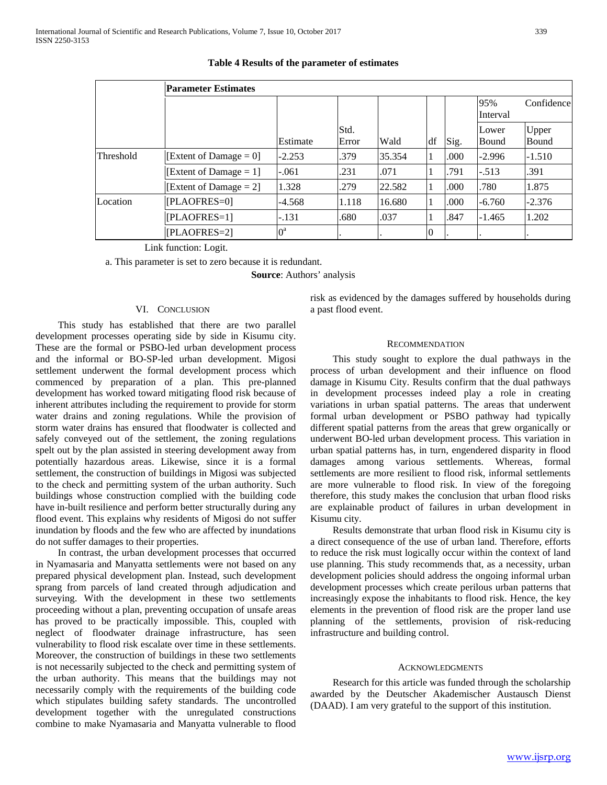|                  | <b>Parameter Estimates</b> |             |               |        |                |      |                       |                              |
|------------------|----------------------------|-------------|---------------|--------|----------------|------|-----------------------|------------------------------|
|                  |                            |             |               |        |                |      | 95%<br>Interval       | Confidence                   |
|                  |                            | Estimate    | Std.<br>Error | Wald   | df             | Sig. | Lower<br><b>Bound</b> | <b>Upper</b><br><b>Bound</b> |
| <b>Threshold</b> | [Extent of Damage $= 0$ ]  | $-2.253$    | .379          | 35.354 | $\perp$        | .000 | $-2.996$              | $-1.510$                     |
|                  | [Extent of Damage = $1$ ]  | $-.061$     | .231          | .071   |                | .791 | $-.513$               | .391                         |
|                  | [Extent of Damage $= 2$ ]  | 1.328       | .279          | 22.582 |                | .000 | .780                  | 1.875                        |
| Location         | [PLAOFRES=0]               | -4.568      | 1.118         | 16.680 | $\mathbf{I}$   | .000 | $-6.760$              | $-2.376$                     |
|                  | [PLAOFRES=1]               | $-.131$     | .680          | .037   |                | .847 | $-1.465$              | 1.202                        |
|                  | [PLAOFRES=2]               | $0^{\rm a}$ |               |        | $\overline{0}$ |      |                       |                              |

**Table 4 Results of the parameter of estimates**

Link function: Logit.

a. This parameter is set to zero because it is redundant.

**Source**: Authors' analysis

# VI. CONCLUSION

 This study has established that there are two parallel development processes operating side by side in Kisumu city. These are the formal or PSBO-led urban development process and the informal or BO-SP-led urban development. Migosi settlement underwent the formal development process which commenced by preparation of a plan. This pre-planned development has worked toward mitigating flood risk because of inherent attributes including the requirement to provide for storm water drains and zoning regulations. While the provision of storm water drains has ensured that floodwater is collected and safely conveyed out of the settlement, the zoning regulations spelt out by the plan assisted in steering development away from potentially hazardous areas. Likewise, since it is a formal settlement, the construction of buildings in Migosi was subjected to the check and permitting system of the urban authority. Such buildings whose construction complied with the building code have in-built resilience and perform better structurally during any flood event. This explains why residents of Migosi do not suffer inundation by floods and the few who are affected by inundations do not suffer damages to their properties.

 In contrast, the urban development processes that occurred in Nyamasaria and Manyatta settlements were not based on any prepared physical development plan. Instead, such development sprang from parcels of land created through adjudication and surveying. With the development in these two settlements proceeding without a plan, preventing occupation of unsafe areas has proved to be practically impossible. This, coupled with neglect of floodwater drainage infrastructure, has seen vulnerability to flood risk escalate over time in these settlements. Moreover, the construction of buildings in these two settlements is not necessarily subjected to the check and permitting system of the urban authority. This means that the buildings may not necessarily comply with the requirements of the building code which stipulates building safety standards. The uncontrolled development together with the unregulated constructions combine to make Nyamasaria and Manyatta vulnerable to flood risk as evidenced by the damages suffered by households during a past flood event.

# RECOMMENDATION

 This study sought to explore the dual pathways in the process of urban development and their influence on flood damage in Kisumu City. Results confirm that the dual pathways in development processes indeed play a role in creating variations in urban spatial patterns. The areas that underwent formal urban development or PSBO pathway had typically different spatial patterns from the areas that grew organically or underwent BO-led urban development process. This variation in urban spatial patterns has, in turn, engendered disparity in flood damages among various settlements. Whereas, formal settlements are more resilient to flood risk, informal settlements are more vulnerable to flood risk. In view of the foregoing therefore, this study makes the conclusion that urban flood risks are explainable product of failures in urban development in Kisumu city.

 Results demonstrate that urban flood risk in Kisumu city is a direct consequence of the use of urban land. Therefore, efforts to reduce the risk must logically occur within the context of land use planning. This study recommends that, as a necessity, urban development policies should address the ongoing informal urban development processes which create perilous urban patterns that increasingly expose the inhabitants to flood risk. Hence, the key elements in the prevention of flood risk are the proper land use planning of the settlements, provision of risk-reducing infrastructure and building control.

### **ACKNOWLEDGMENTS**

 Research for this article was funded through the scholarship awarded by the Deutscher Akademischer Austausch Dienst (DAAD). I am very grateful to the support of this institution.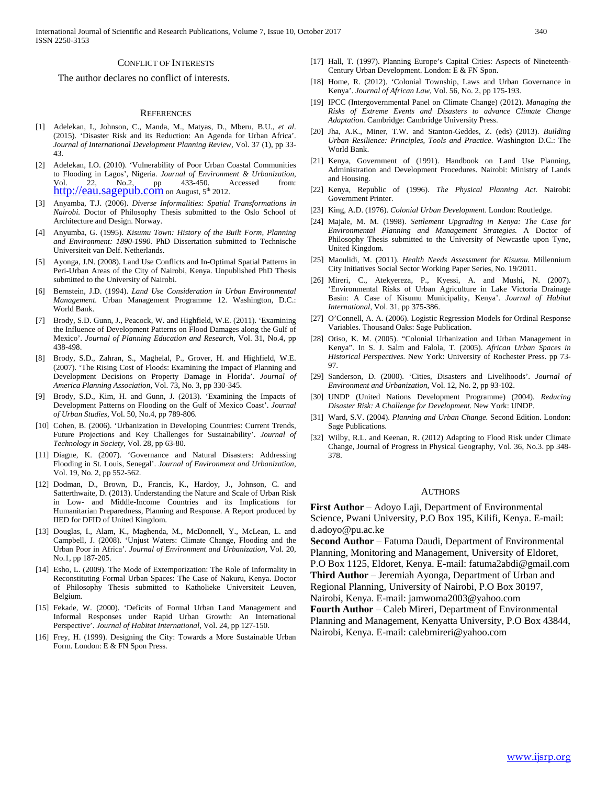#### CONFLICT OF INTERESTS

The author declares no conflict of interests.

#### **REFERENCES**

- [1] Adelekan, I., Johnson, C., Manda, M., Matyas, D., Mberu, B.U., *et al*. (2015). 'Disaster Risk and its Reduction: An Agenda for Urban Africa'. *Journal of International Development Planning Review,* Vol. 37 (1), pp 33- 43.
- [2] Adelekan, I.O. (2010). 'Vulnerability of Poor Urban Coastal Communities to Flooding in Lagos', Nigeria. *Journal of Environment & Urbanization*, Vol. 22, No.2, pp 433-450. Accessed from:<br> [http://eau.sagepub.com](http://eau.sagepub.com/) on August, 5<sup>th</sup> 2012.
- [3] Anyamba, T.J. (2006). *Diverse Informalities: Spatial Transformations in Nairobi.* Doctor of Philosophy Thesis submitted to the Oslo School of Architecture and Design. Norway.
- [4] Anyumba, G. (1995). *Kisumu Town: History of the Built Form, Planning and Environment: 1890-1990.* PhD Dissertation submitted to Technische Universiteit van Delf. Netherlands.
- [5] Ayonga, J.N. (2008). Land Use Conflicts and In-Optimal Spatial Patterns in Peri-Urban Areas of the City of Nairobi, Kenya. Unpublished PhD Thesis submitted to the University of Nairobi.
- [6] Bernstein, J.D. (1994). *Land Use Consideration in Urban Environmental Management*. Urban Management Programme 12. Washington, D.C.: World Bank.
- [7] Brody, S.D. Gunn, J., Peacock, W. and Highfield, W.E. (2011). 'Examining the Influence of Development Patterns on Flood Damages along the Gulf of Mexico'. *Journal of Planning Education and Research,* Vol. 31, No.4, pp 438-498.
- [8] Brody, S.D., Zahran, S., Maghelal, P., Grover, H. and Highfield, W.E. (2007). 'The Rising Cost of Floods: Examining the Impact of Planning and Development Decisions on Property Damage in Florida'. *Journal of America Planning Association,* Vol. 73, No. 3, pp 330-345.
- [9] Brody, S.D., Kim, H. and Gunn, J. (2013). 'Examining the Impacts of Development Patterns on Flooding on the Gulf of Mexico Coast'. *Journal of Urban Studies,* Vol. 50, No.4, pp 789-806.
- [10] Cohen, B. (2006). 'Urbanization in Developing Countries: Current Trends, Future Projections and Key Challenges for Sustainability'. *Journal of Technology in Society*, Vol. 28, pp 63-80.
- [11] Diagne, K. (2007). 'Governance and Natural Disasters: Addressing Flooding in St. Louis, Senegal'. *Journal of Environment and Urbanization*, Vol. 19, No. 2, pp 552-562.
- [12] Dodman, D., Brown, D., Francis, K., Hardoy, J., Johnson, C. and Satterthwaite, D. (2013). Understanding the Nature and Scale of Urban Risk in Low- and Middle-Income Countries and its Implications for Humanitarian Preparedness, Planning and Response. A Report produced by IIED for DFID of United Kingdom.
- [13] Douglas, I., Alam, K., Maghenda, M., McDonnell, Y., McLean, L. and Campbell, J. (2008). 'Unjust Waters: Climate Change, Flooding and the Urban Poor in Africa'. *Journal of Environment and Urbanization,* Vol. 20, No.1, pp 187-205.
- [14] Esho, L. (2009). The Mode of Extemporization: The Role of Informality in Reconstituting Formal Urban Spaces: The Case of Nakuru, Kenya. Doctor of Philosophy Thesis submitted to Katholieke Universiteit Leuven, Belgium.
- [15] Fekade, W. (2000). 'Deficits of Formal Urban Land Management and Informal Responses under Rapid Urban Growth: An International Perspective'. *Journal of Habitat International*, Vol. 24, pp 127-150.
- [16] Frey, H. (1999). Designing the City: Towards a More Sustainable Urban Form. London: E & FN Spon Press.
- [17] Hall, T. (1997). Planning Europe's Capital Cities: Aspects of Nineteenth-Century Urban Development. London: E & FN Spon.
- [18] Home, R. (2012). 'Colonial Township, Laws and Urban Governance in Kenya'. *Journal of African Law,* Vol. 56, No. 2, pp 175-193.
- [19] IPCC (Intergovernmental Panel on Climate Change) (2012). *Managing the Risks of Extreme Events and Disasters to advance Climate Change Adaptation.* Cambridge: Cambridge University Press.
- [20] Jha, A.K., Miner, T.W. and Stanton-Geddes, Z. (eds) (2013). *Building Urban Resilience: Principles, Tools and Practice*. Washington D.C.: The World Bank.
- [21] Kenya, Government of (1991). Handbook on Land Use Planning, Administration and Development Procedures. Nairobi: Ministry of Lands and Housing.
- [22] Kenya, Republic of (1996). *The Physical Planning Act.* Nairobi: Government Printer.
- [23] King, A.D. (1976). *Colonial Urban Development*. London: Routledge.
- [24] Majale, M. M. (1998). *Settlement Upgrading in Kenya: The Case for Environmental Planning and Management Strategies.* A Doctor of Philosophy Thesis submitted to the University of Newcastle upon Tyne, United Kingdom.
- [25] Maoulidi, M. (2011). *Health Needs Assessment for Kisumu.* Millennium City Initiatives Social Sector Working Paper Series, No. 19/2011.
- [26] Mireri, C., Atekyereza, P., Kyessi, A. and Mushi, N. (2007). 'Environmental Risks of Urban Agriculture in Lake Victoria Drainage Basin: A Case of Kisumu Municipality, Kenya'. *Journal of Habitat International,* Vol. 31, pp 375-386.
- [27] O'Connell, A. A. (2006). Logistic Regression Models for Ordinal Response Variables. Thousand Oaks: Sage Publication.
- [28] Otiso, K. M. (2005). "Colonial Urbanization and Urban Management in Kenya". In S. J. Salm and Falola, T. (2005). *African Urban Spaces in Historical Perspectives.* New York: University of Rochester Press. pp 73- 97.
- [29] Sanderson, D. (2000). 'Cities, Disasters and Livelihoods'. *Journal of Environment and Urbanization*, Vol. 12, No. 2, pp 93-102.
- [30] UNDP (United Nations Development Programme) (2004). *Reducing Disaster Risk: A Challenge for Development.* New York: UNDP.
- [31] Ward, S.V. (2004). *Planning and Urban Change.* Second Edition. London: Sage Publications.
- [32] Wilby, R.L. and Keenan, R. (2012) Adapting to Flood Risk under Climate Change, Journal of Progress in Physical Geography, Vol. 36, No.3. pp 348- 378.

#### AUTHORS

**First Author** – Adoyo Laji, Department of Environmental Science, Pwani University, P.O Box 195, Kilifi, Kenya. E-mail: d.adoyo@pu.ac.ke

**Second Author** – Fatuma Daudi, Department of Environmental Planning, Monitoring and Management, University of Eldoret, P.O Box 1125, Eldoret, Kenya. E-mail: fatuma2abdi@gmail.com **Third Author** – Jeremiah Ayonga, Department of Urban and Regional Planning, University of Nairobi, P.O Box 30197,

Nairobi, Kenya. E-mail: jamwoma2003@yahoo.com

**Fourth Author** – Caleb Mireri, Department of Environmental Planning and Management, Kenyatta University, P.O Box 43844, Nairobi, Kenya. E-mail: calebmireri@yahoo.com